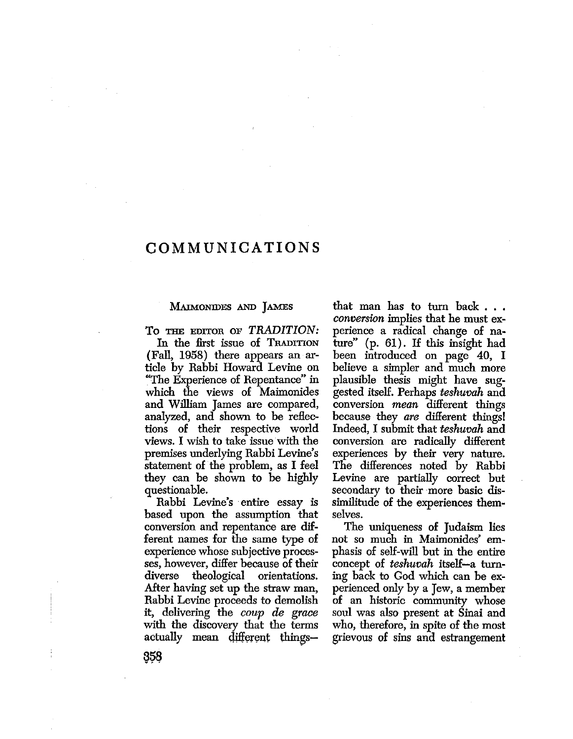## COMMUNICATIONS

## MAIMONIDES AND JAMES

To THE EDITOR OF TRADITION: In the first issue of TRADITION (Fall, 1958) there appears an article by Rabbi Howard Levine on "The Experience of Repentance" in which the views of Maimonides and William James are compared, analyzed, and shown to be reflections of their respective world views. I wish to take issue with the premises underlying Rabbi Levine's statement of the problem, as I feel they can be shown to be highly questionable.

Rabbi Levine's entire essay is based upon the assumption that conversion and repentance are diferent names for the same type of experience whose subjective processes, however, differ because of their diverse theological orientations. After having set up the straw man, Rabbi Levine proceeds to demolih it, delivering the coup de grace with the discovery that the terms actually mean different things-

that man has to turn back . . . conversion implies that he must experience a radical change of natue" (p. 61). If this insight had been introduced on page 40, I believe a simpler and much more plausible thesis might have suggested itself. Perhaps teshuvah and conversion *mean* different things because they *are* different things! Indeed, I submit that teshuvah and conversion are radically different experiences by their very natue. The diferences noted by Rabbi Levine are partially correct but secondary to their more basic dissimilitude of the experiences themselves.

The uniqueness of Judaism lies not so much in Maimonides' emphasis of self-wil but in the entie concept of *teshuvah* itself-a turning back to God which can be experienced only by a Jew, a member of an historic communty whose soul was also present at Sinai and who, therefore, in spite of the most grievous of sins and estrangement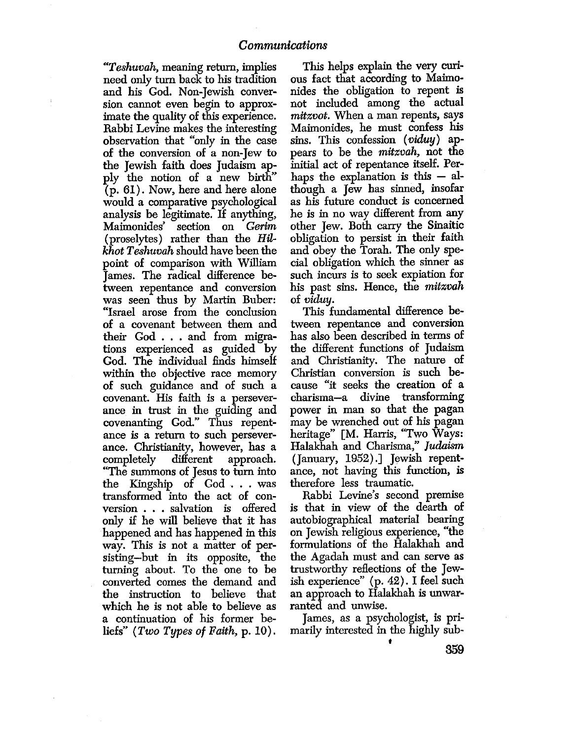"Teshuvah, meaning return, implies need only turn back to his tradition and his Cod. Non-Jewish conversion cannot even begin to approximate the quality of this experience. Rabbi Levine makes the interestig observation that "only in the case of the conversion of a non-Jew to the Jewish faith does Judaism apply the notion of a new birth" (p. 61). Now, here and here alone would a comparative psychological analysis be legitimate. If anything, Maimonides' section on Gerim (proselytes) rather than the Hilkhot Teshuvah should have been the point of comparison with Wilam James. The radical difference between repentanæ and conversion was seen thus by Martin Buber: "Israel arose from the conclusion of a covenant between them and their Cod. . . and from migrations experienced as guided by God. The individual finds himself within the objective race memory of such guidance and of such a covenant. His faith is a perseverance in trust in the guiding and covenanting God." Thus repentance is a return to such perseverance. Christianity, however, has a completely diferent approach. "The summons of Jesus to turn into the Kigship of God... was transformed into the act of conversion . . . salvation is offered only if he wil believe that it has happened and has happened in this way. This is not a matter of persistig-but in its opposite, the turning about. To the one to be converted comes the demand and the instruction to believe that which he is not able to believe as a continuation of his former beliefs" (Two Types of Faith, p. 10).

This helps explain the very curious fact that accordig to Maimonides the obligation to repent is not included among the actual mitzvot. When a man repents, says Maimonides, he must confess hi sins. This confession (*viduy*) appears to he the mitzvah, not the initial act of repentance itself. Perhaps the explanation is this  $-$  although a Jew has sined, insofar as his futue conduct is concerned he is in no way different from any other Jew. Both carry the Sinaitic obligation to persist in their faith and obey the Torah. The only special obligation which the siner as such incurs is to seek expiation for his past sins. Hence, the *mitzvah* of viduy.

This fundamental difference between repentance and conversion has also been described in terms of the diferent fuctions of Judaim and Christianity. The natue of Christian conversion is such because "it seeks the creation of a charisma-a divine transforming power in man so that the pagan may be wrenched out of his pagan heritage" [M. Harris, "Two Ways: Halakhah and Charisma," Judaism (January, 1952).J Jewih repent- ance, not having this fuction, is therefore less traumatic.

Rabbi Levine's second premie is that in view of the dearth of autobiographical material bearing on Jewish religious experience, "the formulations of the Halakhah and the Agadah must and can serve as trustworthy reflections of the Jewish experienæ" (p. 42). I feel such an approach to Halakhah is unwarranted and unwise.

James, as a psychologist, is primarily interested in the highly sub-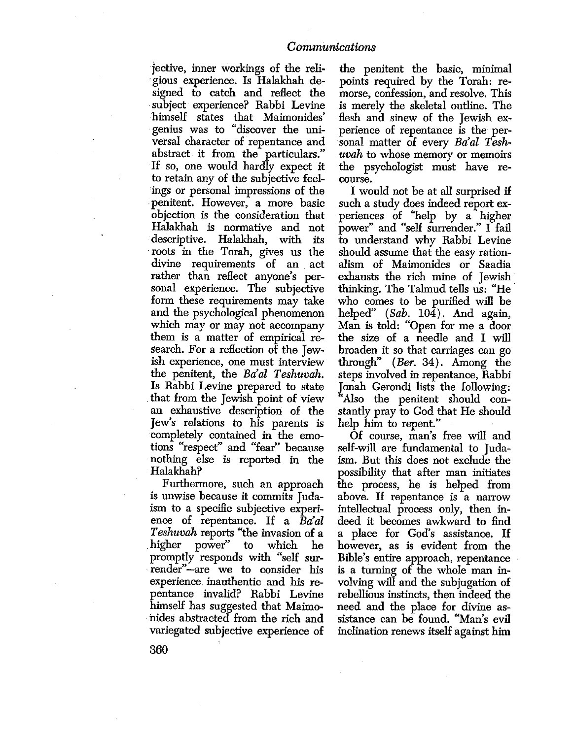jective, inner workings of the reli-. gious experience. Is Halakhah designed to catch and reflect the . subject experience? Rabbi Levine .himself states that Maimonides' genius was to "discover the universal character of repentanæ and abstract it from the particulars." If so, one would hardly expect it to retain any of the subjective feelings or personal impressions of the . penitent. However, a more basic objection is the consideration that Halakhah is normative and not . descriptive. Halakhah, with its . roots in the Torah, gives us the divine requirements of an act rather than reflect anyone's personal experience. The subjective form these requirements may take and the psychological phenomenon which may or may not accompany them is a matter of empirical research. For a reflection of the Jew~ ish experience, one must interview the penitent, the Ba'al Teshuvah. Is Rabbi Levine prepared to state . that from the Jewish point of view an exhaustive description of the Jew's relations to his parents is 'completely contained in the emotions "respect" and "fear" because nothing else is reported in the Halakhah?

Furthermore, such an approach is unwise because it commits Judaism to a specific subjective experience of repentance. If a  $\overline{B}a' a l$ Teshuvah reports "the invasion of a . higher power" to which he promptly responds with "self sur render"-are we to consider his experience inauthentic and his repentance invalid? Rabbi Levine himself has suggested that Maimo-. hides abstracted from the rich and variegated subjective experience of

the penitent the basic, minimal points required by the Torah: remorse, confession, and resolve. This is merely the skeletal outline. The flesh and sinew of the Jewish experience of repentance is the. personal matter of every Ba'al Teshuvah to whose memory or memoirs the psychologist must have recourse.

I would not be at all surprised if such a study does indeed report experiences of ''help by a higher power" and "self surrender." I fail to understand why Rabbi Levine should assume that the easy rationalism of Maimonides or Saadia exhausts the rich mine of Jewish thinking. The Talmud tells us: "He who comes to be purified will be helped" (Sab. 104). And again, Man is told: "Open for me a door the size of a needle and I wil broaden it so that carriages can go through"  $(Ber. 34)$ . Among the steps involved in repentance, Rabbi Jonah Gerondi lists the following: "Also the penitent should constantly pray to God that He should help him to repent."

Of course, man's free will and self-will are fundamental to Judaism. But this does not exclude the possibility that after man initiates the process, he is helped from above. If repentance is a narrow intellectual process only, then indeed it becomes awkward to find a place for God's assistance. If however, as is evident from the Bible's entire approach, repentance is a turning of the whole man involving will and the subjugation of rebellious instincts, then indeed the need and the place for divine assistance can be found. "Man's evil incliation renews itself against him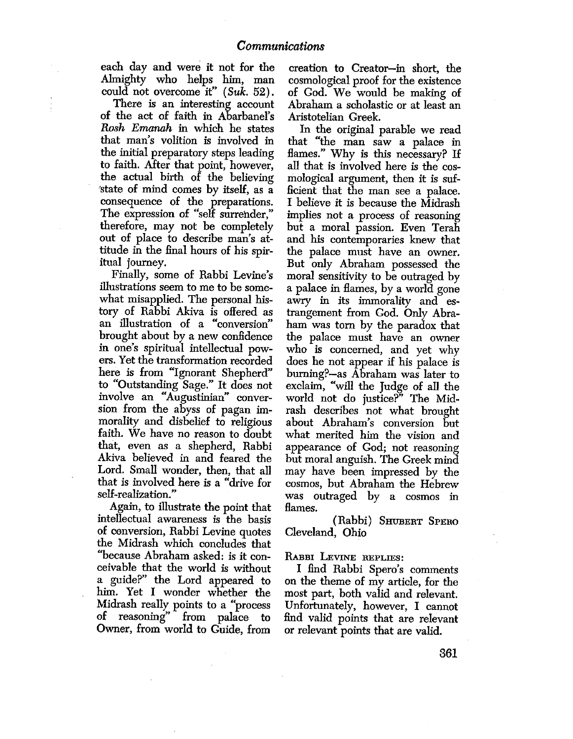each day and were it not for the Almighty who helps him, man could not overcome it" (Suk. 52).

There is an interesting account of the act of faith in Abarbanels Rosh Emanah in which he states that man's volition is involved in the initial preparatory steps leading to faith. Mter that point, however, the actual birth of the believing 'state of mind comes by itself, as a consequence of the preparations. The expression of "self surrender," therefore, may not be completely out of place to describe man's attitude in the final hours of his spiritual journey.

Finally, some of Rabbi Levine's ilustrations seem to me to be somewhat misapplied. The personal history of Rabbi Akiva is offered as an illustration of a "conversion" brought about by a new confdence in one's spiritual intellectual powers. Yet the transformation recorded here is from "Ignorant Shepherd" to .'Outstandig Sage." It does not involve an "Augustinian" conversion from the abyss of pagan immorality and disbelief to religious faith. We have no reason to doubt that, even as a shepherd, Rabbi Akiva believed in and feared the Lord. Small wonder, then, that all that is involved here is a "drive for self-realization."

Again, to illustrate the point that intellectual awareness is the basis of conversion, Rabbi Levine quotes the Midrash which concludes that "because Abraham asked: is it conceivable that the world is without a guide?" the Lord appeared to him. Yet I wonder whether the Midrash really points to a "process of reasonig" from palace to Owner, from world to Guide, from

creation to Creator-in short, the cosmological proof for the existence of God. We would be making of Abraham a scholastic or at least an Aristotelian Greek.

In the original parable we read that "the man saw a palace in flames." Why is this necessary? If all that is involved here is the cosmological argument, then it is sufficient that the man see a palace. I believe it is because the Midrash implies not a process of reasoning but a moral passion. Even Terah and his contemporaries knew that the palace must have an owner. But only Abraham possessed the moral sensitivity to be outraged by a palaæ in flames, by a world gone awry in its immorality and estrangement from God. Only Abraham was tom by the paradox that the palace must have an owner who is concerned, and yet why does he not appear if his palace is buring?-as Abraham was later to exclaim, "wil the Judge of all the world not do justice?" The Midrash describes not what brought about Abraham's conversion but what merited him the vision and appearance of God; not reasoning but moral anguish. The Greek mind may have been impressed by the cosmos, but Abraham the Hebrew was outraged by a cosmos in flames.

(Rabbi) SHUERT SPERO Cleveland, Ohio

RABBI LEVINE REPLIES:

I find Rabbi Spero's comments on the theme of my article, for the most part, both valid and relevant. Unfortunately, however, I cannot find valid points that are relevant or relevant points that are valid.

361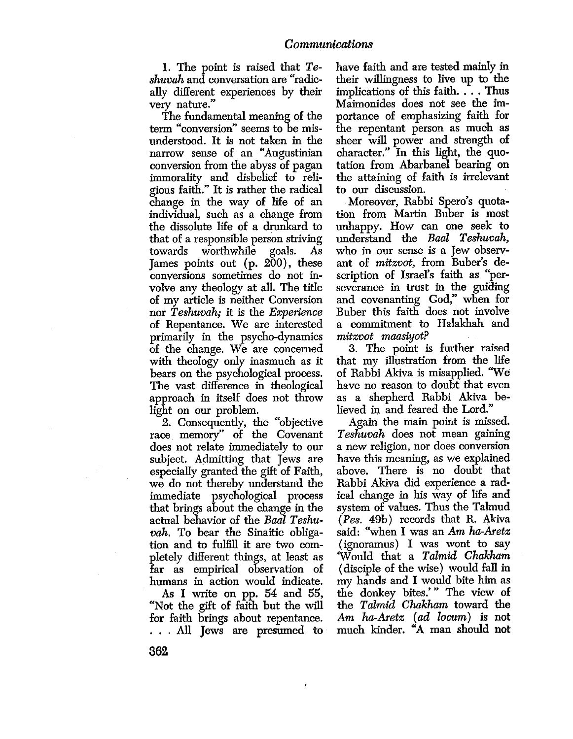1. The point is raised that Teshuvah and conversation are "radically different experiences by their very nature."

The fundamental meaning of the term "conversion" seems to be misunderstood. It is not taken in the narrow sense of an "Augustinian conversion from the abyss of pagan immorality and disbelief to religious faith." It is rather the radical change in the way of life of an individual, such as a change from the dissolute life of a drnkard to that of a responsible person striving towards worthwhile goals. As James points out (p. 200), these conversions sometimes do not involve any theology at all. The title of my article is neither Conversion nor Teshuvah; it is the Experience of Repentance. We are interested primarily in the psycho-dynamics of the change. We are concerned with theology only inasmuch as it bears on the psychological process. The vast diference in theological approach in itself does not throw light on our problem.

2. Consequently, the "objective raæ memory" of the Covenant does not relate immediately to our subject. Admitting that Jews are especially granted the gift of Faith, we do not thereby understand the immediate psychological process that brings about the change in the actual behavior of the Baal Teshuvah. To bear the Sinaitic obligation and to fulfill it are two completely diferent things, at least as far as empirical observation of humans in action would indicate.

As I write on pp. 54 and 55, "Not the gift of faith but the will for faith brings about repentance. All Jews are presumed to have faith and are tested mainy in their wilingness to live up to the implications of this faith. . . . Thus Maimonides does not see the importance of emphasizing faith for the repentant person as much as sheer will power and strength of character." In this light, the quotation from Abarbanel bearing on the attaining of faith is irelevant to our discussion.

Moreover, Rabbi Spero's quota-<br>tion from Martin Buber is most unhappy. How can one seek to understand the Baal Teshuvah, who in our sense is a Jew observant of *mitzvot*, from Buber's description of Israel's faith as "perseverance in trust in the guiding and covenanting God," when for Buber this faith does not involve a commitment to Halakhah and mitzvot maasiyot?

3. The point is further raised that my ilustration from the life of Rabbi Akiva is misapplied. "We have no reason to doubt that even as a shepherd Rabbi Akiva believed in and feared the Lord."

Again the main point is missed. Teshuvah does not mean gaining a new religion, nor does conversion have this meaning, as we explained above. There is no doubt that Rabbi Akiva did experienæ a radical change in his way of life and system of values. Thus the Talmud (Pes. 49b) records that R. Akva said: "when I was an Am ha-Aretz (ignoramus) I was wont to say Would that a Talmid Chakham (disciple of the wise) would fall in my hands and I would bite him as the donkey bites.'" The view of the Talmid Chakham toward the Am ha-Aretz (ad locum) is not much kinder. "A man should not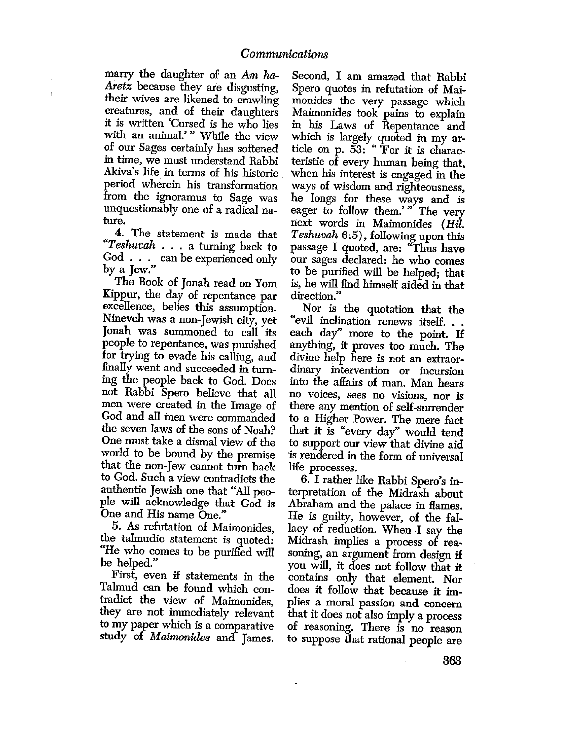marry the daughter of an Am ha-Aretz because they are disgusting, their wives are likened to crawling creatues, and of their daughters it is written 'Cursed is he who lies with an animal.'" While the view of our Sages certainly has softened in time, we must understand Rabbi Akiva's life in terms of his historic period wherein his transformation from the ignoramus to Sage was unquestionably one of a radical nature.

ŧ  $\bigg|$ 

> 4. The statement is made that "Teshuvah . . . a turning back to God . .. can be experienced only by a Jew."

The Book of Jonah read on Yom Kippur, the day of repentance par excellence, belies this assumption. Nineveh was a non-Jewish city, yet Jonah was summoned to call its people to repentanæ, was punshed for trying to evade his calling, and finally went and succeeded in turning the people back to God. Does not Rabbi Spero believe that all men were created in the Image of God and all men were commanded the seven laws of the sons of Noah? One must take a dismal view of the world to be bound by the premise that the non-Jew cannot turn back to God. Such a view contradicts the authentic Jewish one that "AIl people will acknowledge that God is One and His name One."

5. As refutation of Maimonides, the taImudic statement is quoted: "He who comes to be purifed wil be helped."

First, even if statements in the Talmud can be found which contradict the view of Maimonides, they are not immediately relevant to my paper which is a comparative study of Maimonides and James.

Second. I am amazed that Rabbi Spero quotes in refutation of Maimonides the very passage which Maimonides took pains to explain in his Laws of Repentance and which is largely quoted in my article on p.  $53:$  "For it is characteristic of every human being that, when his interest is engaged in the ways of wisdom and righteousness, he longs for these ways and is eager to follow them.'" The very next words in Maimonides (Hû. Teshuvah 6:5), following upon this passage I quoted, are: "Thus have our sages declared: he who comes to be purifed wil be helped; that is, he wil find himself aided in that direction."

Nor is the quotation that the "evil incliation renews itself. . . each day" more to the point. If anything, it proves too much. The divine help here is not an extraordinary intervention or incursion into the affairs of man. Man hears no voices, sees no visions, nor is there any mention of self-surender to a Higher Power. The mere fact that it is "every day" would tend to support our view that divine aid 'is rendered in the form of universal life processes.

6. I rather like Rabbi Spero's interpretation of the Midrash about Abraham and the palace in Hames. He is guilty, however, of the fallacy of reduction. When I say the Midrash implies a process of reasoning, an argument from design if you wil, it does not follow that it contains only that element. Nor does it follow that because it implies a moral passion and concern that it does not also imply a process of reasonig. There is no reason to suppose that rational people are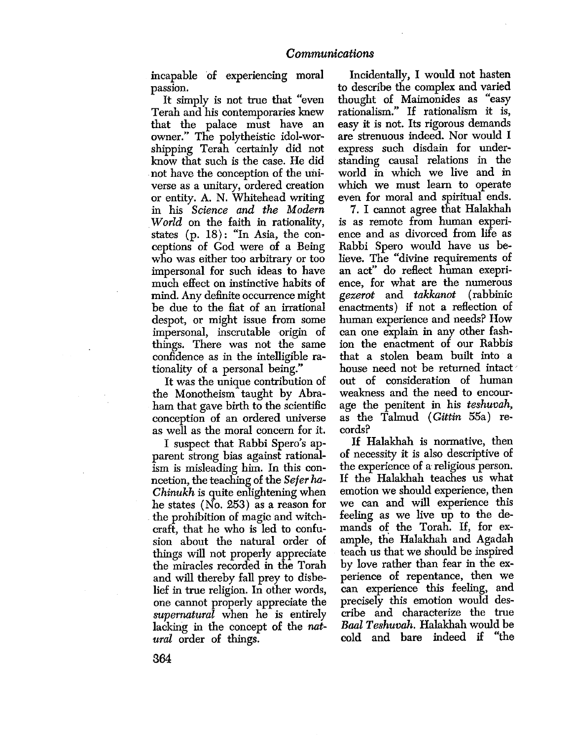incapable of experiencing moral passion.

It simply is not true that "even" Terah and his contemporaries knew that the palace must have an owner." The polytheistic idol-worshipping Terah certainly did not know that such is the case. He did . not have the conception of the universe as a unitary, ordered creation or entity. A. N. Whitehead writing in his Science and the Modern World on the faith in rationality, states (p. 18): "In Asia, the conceptions of God were of a Being who was either too arbitrary or too impersonal for such ideas to have much effect on instinctive habits of mind. Any definite occurence might be due to the fiat of an irrational despot, or might issue from some impersonal, inscrutable origin of things. There was not the same confdence as in the intelligible rationality of a personal being."

It was the unique contribution of the Monotheism taught by Abraham that gave birth to the scientific conception of an ordered universe as well as the moral concern for it.

I suspect that Rabbi Spero's apparent strong bias against rationalism is misleading him. In this conncetion, the teaching of the Sefer ha-Chinukh is quite enlightening when he states (No. 253) as a reason for . the prohibition of magic and witchcraft, that he who is led to confusion about the natural order of things will not properly appreciate the miracles recorded in the Torah and will thereby fall prey to disbelief in true religion. In other words, one cannot properly appreciate the supernatural when he is entirely lacking in the concept of the natural order of things.

Incidentally, I would not hasten to describe the complex and varied thought of Maimonides as "easy rationalism." If rationalism it is, easy it is not. Its rigorous demands are strenuous indeed. Nor would I express such disdain for understanding causal relations in the world in which we live and in which we must learn to operate even for moral and spiritual ends.

7. I cannot agree that Halakhah is as remote from human experience and as divorced from life as Rabbi Spero would have us believe. The "divine requirements of an act" do reflect human exeprience, for what are the numerous gezerot and takkanot (rabbinic enactments) if not a reflection of human experience and needs? HoW can one explain in any other fashion the enactment of our Rabbis that a stolen beam built into a house need not be returned intact. out of consideration of human weakness and the need to encourage the penitent in his teshuvah, as the Talmud (Gittin 55a) records?

If Halakhah is normative, then of necessity it is also descriptive of the experience of a' religious person. If the Halakhah teaches us what emotion we should experience, then we can and will experience this feelig as we live up to the demands of the Torah. If, for example, the Halakhah and Agadah teach us that we should be inspired by love rather than fear in the experience of repentance, then we can experience this feeling. and precisely this emotion would describe and characterize the true Baal Teshuvah. Halakhah would be cold and bare indeed if "the